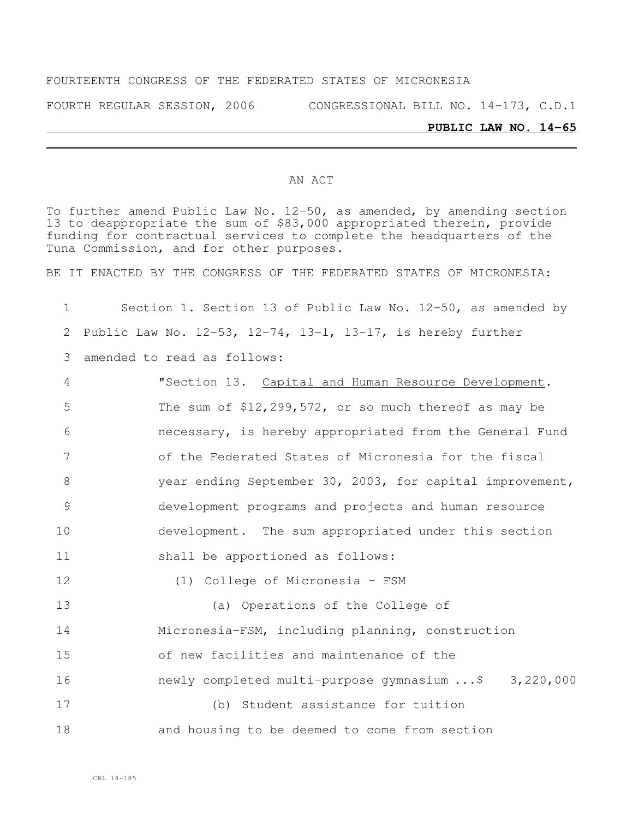#### FOURTEENTH CONGRESS OF THE FEDERATED STATES OF MICRONESIA

FOURTH REGULAR SESSION, 2006 CONGRESSIONAL BILL NO. 14-173, C.D.1

#### **PUBLIC LAW NO. 14-65**

#### AN ACT

To further amend Public Law No. 12-50, as amended, by amending section to deappropriate the sum of \$83,000 appropriated therein, provide funding for contractual services to complete the headquarters of the Tuna Commission, and for other purposes.

BE IT ENACTED BY THE CONGRESS OF THE FEDERATED STATES OF MICRONESIA:

 Section 1. Section 13 of Public Law No. 12-50, as amended by Public Law No. 12-53, 12-74, 13-1, 13-17, is hereby further amended to read as follows: "Section 13. Capital and Human Resource Development. The sum of \$12,299,572, or so much thereof as may be necessary, is hereby appropriated from the General Fund of the Federated States of Micronesia for the fiscal year ending September 30, 2003, for capital improvement, development programs and projects and human resource

development. The sum appropriated under this section

shall be apportioned as follows:

(1) College of Micronesia - FSM

 (a) Operations of the College of Micronesia-FSM, including planning, construction of new facilities and maintenance of the **newly completed multi-purpose gymnasium ...**\$ 3,220,000 (b) Student assistance for tuition

and housing to be deemed to come from section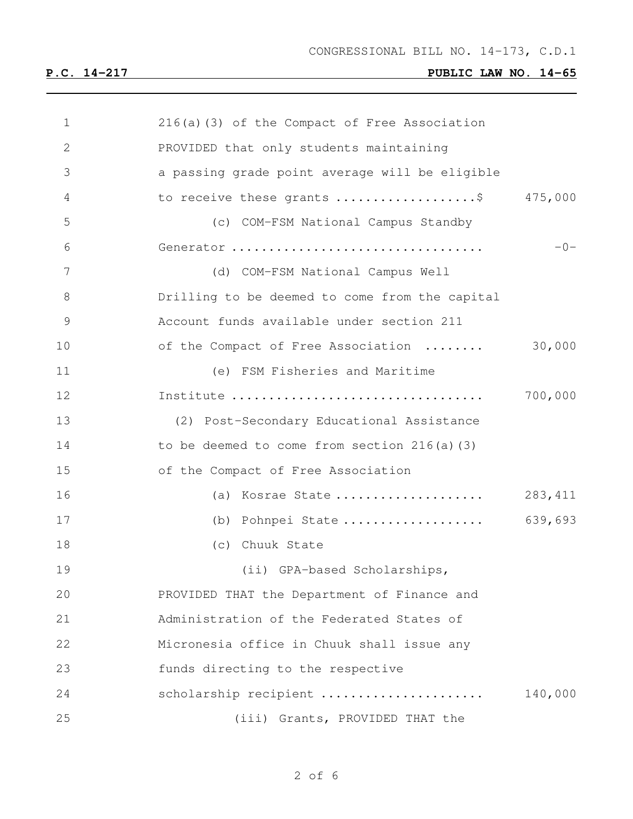| $\mathbf 1$   | 216(a)(3) of the Compact of Free Association   |         |
|---------------|------------------------------------------------|---------|
| $\mathbf{2}$  | PROVIDED that only students maintaining        |         |
| 3             | a passing grade point average will be eligible |         |
| 4             | to receive these grants \$                     | 475,000 |
| 5             | (c) COM-FSM National Campus Standby            |         |
| 6             | Generator                                      | $-0-$   |
| 7             | (d) COM-FSM National Campus Well               |         |
| 8             | Drilling to be deemed to come from the capital |         |
| $\mathcal{G}$ | Account funds available under section 211      |         |
| 10            | of the Compact of Free Association             | 30,000  |
| 11            | (e) FSM Fisheries and Maritime                 |         |
| 12            | Institute                                      | 700,000 |
| 13            | (2) Post-Secondary Educational Assistance      |         |
| 14            | to be deemed to come from section $216(a)(3)$  |         |
| 15            | of the Compact of Free Association             |         |
| 16            | (a) Kosrae State                               | 283,411 |
| 17            | (b) Pohnpei State                              | 639,693 |
| 18            | (c) Chuuk State                                |         |
| 19            | (ii) GPA-based Scholarships,                   |         |
| 20            | PROVIDED THAT the Department of Finance and    |         |
| 21            | Administration of the Federated States of      |         |
| 22            | Micronesia office in Chuuk shall issue any     |         |
| 23            | funds directing to the respective              |         |
| 24            | scholarship recipient                          | 140,000 |
| 25            | (iii) Grants, PROVIDED THAT the                |         |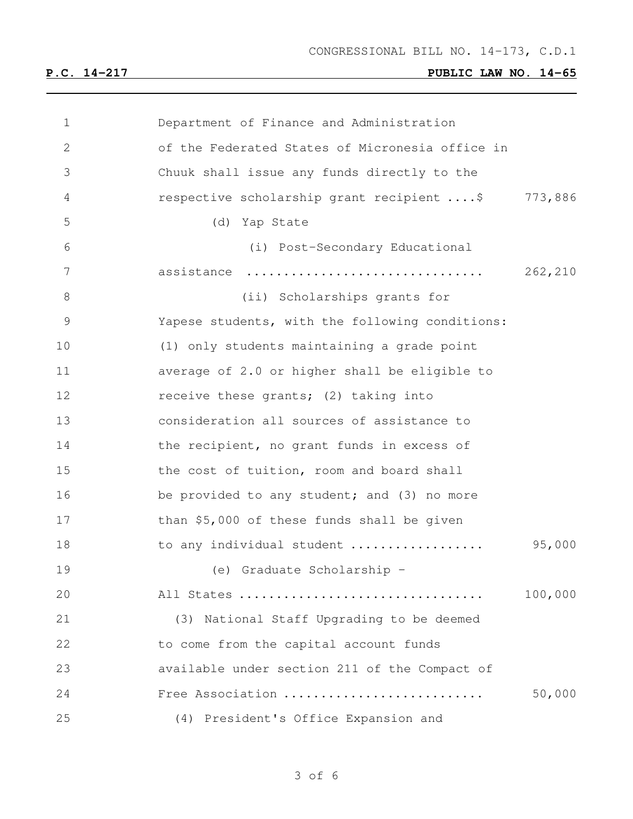| 1  | Department of Finance and Administration        |         |
|----|-------------------------------------------------|---------|
| 2  | of the Federated States of Micronesia office in |         |
| 3  | Chuuk shall issue any funds directly to the     |         |
| 4  | respective scholarship grant recipient  \$      | 773,886 |
| 5  | (d) Yap State                                   |         |
| 6  | (i) Post-Secondary Educational                  |         |
| 7  | assistance                                      | 262,210 |
| 8  | (ii) Scholarships grants for                    |         |
| 9  | Yapese students, with the following conditions: |         |
| 10 | (1) only students maintaining a grade point     |         |
| 11 | average of 2.0 or higher shall be eligible to   |         |
| 12 | receive these grants; (2) taking into           |         |
| 13 | consideration all sources of assistance to      |         |
| 14 | the recipient, no grant funds in excess of      |         |
| 15 | the cost of tuition, room and board shall       |         |
| 16 | be provided to any student; and (3) no more     |         |
| 17 | than \$5,000 of these funds shall be given      |         |
| 18 | to any individual student                       | 95,000  |
| 19 | (e) Graduate Scholarship -                      |         |
| 20 | All States                                      | 100,000 |
| 21 | (3) National Staff Upgrading to be deemed       |         |
| 22 | to come from the capital account funds          |         |
| 23 | available under section 211 of the Compact of   |         |
| 24 | Free Association                                | 50,000  |
| 25 | (4) President's Office Expansion and            |         |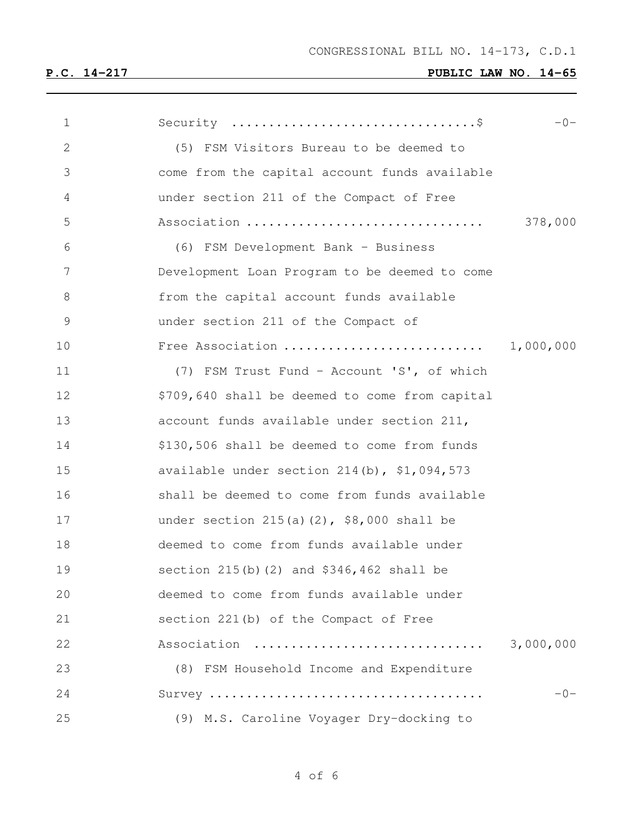| $\mathbf 1$  |                                                 | $-0-$     |
|--------------|-------------------------------------------------|-----------|
| $\mathbf{2}$ | (5) FSM Visitors Bureau to be deemed to         |           |
| 3            | come from the capital account funds available   |           |
| 4            | under section 211 of the Compact of Free        |           |
| 5            | Association                                     | 378,000   |
| 6            | (6) FSM Development Bank - Business             |           |
| 7            | Development Loan Program to be deemed to come   |           |
| 8            | from the capital account funds available        |           |
| 9            | under section 211 of the Compact of             |           |
| 10           | Free Association                                | 1,000,000 |
| 11           | (7) FSM Trust Fund - Account 'S', of which      |           |
| 12           | \$709,640 shall be deemed to come from capital  |           |
| 13           | account funds available under section 211,      |           |
| 14           | \$130,506 shall be deemed to come from funds    |           |
| 15           | available under section $214(b)$ , $$1,094,573$ |           |
| 16           | shall be deemed to come from funds available    |           |
| 17           | under section $215(a)(2)$ , \$8,000 shall be    |           |
| 18           | deemed to come from funds available under       |           |
| 19           | section 215(b)(2) and \$346,462 shall be        |           |
| 20           | deemed to come from funds available under       |           |
| 21           | section 221(b) of the Compact of Free           |           |
| 22           | Association                                     | 3,000,000 |
| 23           | (8) FSM Household Income and Expenditure        |           |
| 24           |                                                 | $-0-$     |
| 25           | (9) M.S. Caroline Voyager Dry-docking to        |           |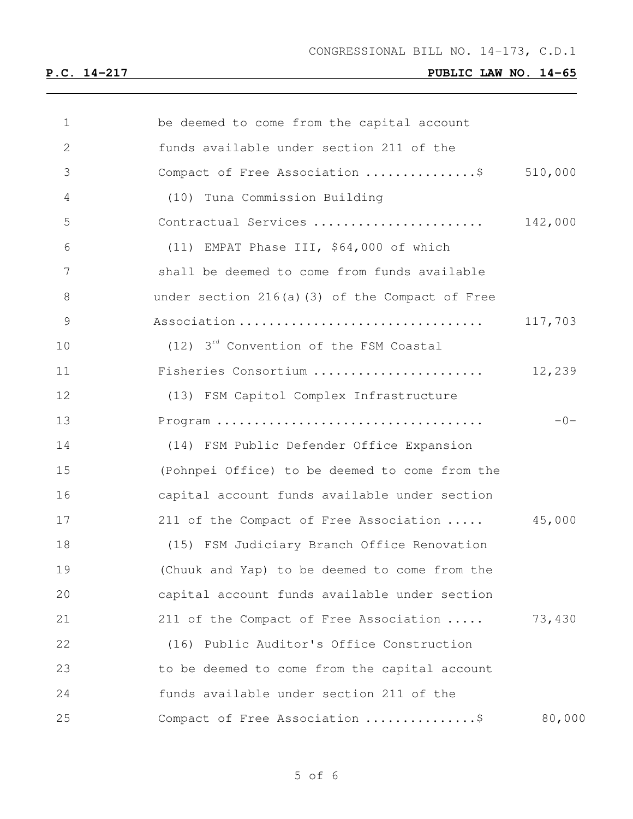| $\mathbf 1$ | be deemed to come from the capital account           |         |
|-------------|------------------------------------------------------|---------|
| 2           | funds available under section 211 of the             |         |
| 3           | Compact of Free Association \$                       | 510,000 |
| 4           | (10) Tuna Commission Building                        |         |
| 5           | Contractual Services                                 | 142,000 |
| 6           | (11) EMPAT Phase III, \$64,000 of which              |         |
| 7           | shall be deemed to come from funds available         |         |
| $\,8\,$     | under section 216(a)(3) of the Compact of Free       |         |
| $\mathsf 9$ | Association                                          | 117,703 |
| 10          | $(12)$ 3 <sup>rd</sup> Convention of the FSM Coastal |         |
| 11          | Fisheries Consortium                                 | 12,239  |
| 12          | (13) FSM Capitol Complex Infrastructure              |         |
| 13          |                                                      | $-0-$   |
| 14          | (14) FSM Public Defender Office Expansion            |         |
| 15          | (Pohnpei Office) to be deemed to come from the       |         |
| 16          | capital account funds available under section        |         |
| 17          | 211 of the Compact of Free Association               | 45,000  |
| 18          | (15) FSM Judiciary Branch Office Renovation          |         |
| 19          | (Chuuk and Yap) to be deemed to come from the        |         |
| 20          | capital account funds available under section        |         |
| 21          | 211 of the Compact of Free Association               | 73,430  |
| 22          | (16) Public Auditor's Office Construction            |         |
| 23          | to be deemed to come from the capital account        |         |
| 24          | funds available under section 211 of the             |         |
| 25          | Compact of Free Association \$                       | 80,000  |